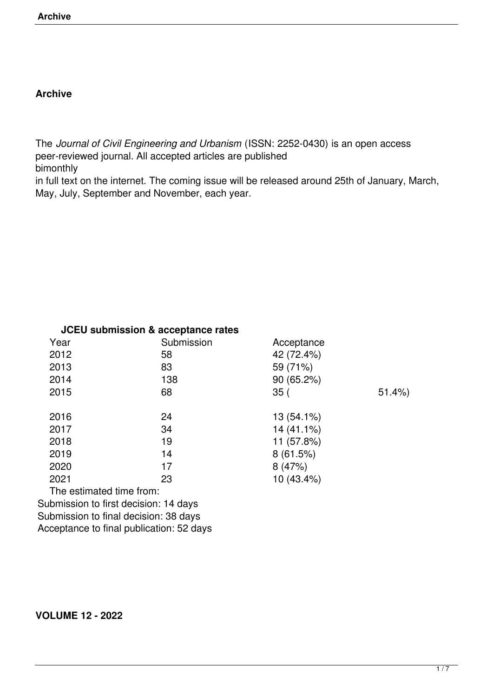# **Archive**

The *Journal of Civil Engineering and Urbanism* (ISSN: 2252-0430) is an open access peer-reviewed journal. All accepted articles are published bimonthly

in full text on the internet. The coming issue will be released around 25th of January, March, May, July, September and November, each year.

| <b>JCEU submission &amp; acceptance rates</b> |                                          |            |       |
|-----------------------------------------------|------------------------------------------|------------|-------|
| Year                                          | Submission                               | Acceptance |       |
| 2012                                          | 58                                       | 42 (72.4%) |       |
| 2013                                          | 83                                       | 59 (71%)   |       |
| 2014                                          | 138                                      | 90(65.2%)  |       |
| 2015                                          | 68                                       | 35(        | 51.4% |
| 2016                                          | 24                                       | 13 (54.1%) |       |
| 2017                                          | 34                                       | 14 (41.1%) |       |
| 2018                                          | 19                                       | 11 (57.8%) |       |
| 2019                                          | 14                                       | 8(61.5%)   |       |
| 2020                                          | 17                                       | 8(47%)     |       |
| 2021                                          | 23                                       | 10 (43.4%) |       |
| The estimated time from:                      |                                          |            |       |
|                                               | Submission to first decision: 14 days    |            |       |
|                                               | Submission to final decision: 38 days    |            |       |
|                                               | Acceptance to final publication: 52 days |            |       |

# **VOLUME 12 - 2022**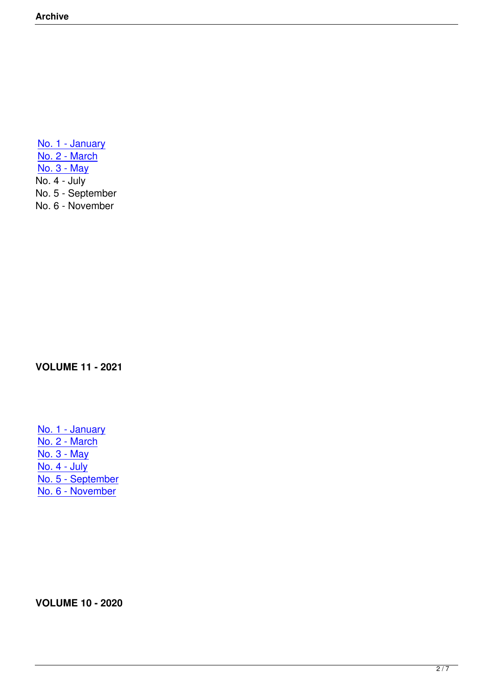No. 1 - January No. 2 - March No. 3 - May [No. 4 - July](https://ojceu.com/main/index.php?option=com_content&view=article&id=86&Itemid=90) [No. 5 - Septem](https://ojceu.com/main/index.php?option=com_content&view=article&id=88&Itemid=92)ber [No. 6 - Nove](index.php?option=com_content&view=article&id=89&Itemid=93)mber

**VOLUME 11 - 2021**

No. 1 - January No. 2 - March No. 3 - May [No. 4 - July](index.php?option=com_content&view=article&id=80&Itemid=84) <u>[No. 5 - Septem](http://ojceu.com/main/index.php?option=com_content&view=article&id=81&Itemid=85)ber</u> <u>[No. 6 - Nove](http://ojceu.com/main/index.php?option=com_content&view=article&id=82&Itemid=86)mber</u>

**VOLUME 10 - 2020**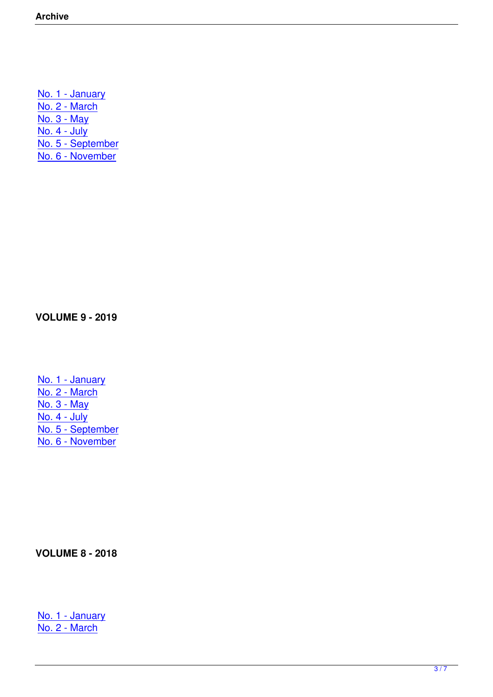No. 1 - January No. 2 - March No. 3 - May [No. 4 - July](index.php?option=com_content&view=article&id=74&Itemid=78) [No. 5 - Septem](index.php?option=com_content&view=article&id=75&Itemid=79)ber [No. 6 - Nove](index.php?option=com_content&view=article&id=76&Itemid=80)mber

**VOLUME 9 - 2019**

No. 1 - January No. 2 - March No. 3 - May [No. 4 - July](index.php?option=com_content&view=article&id=68&Itemid=72) [No. 5 - Septem](index.php?option=com_content&view=article&id=69&Itemid=73)ber [No. 6 - Nove](index.php?option=com_content&view=article&id=70&Itemid=74)mber

**VOLUME 8 - 2018**

No. 1 - January No. 2 - March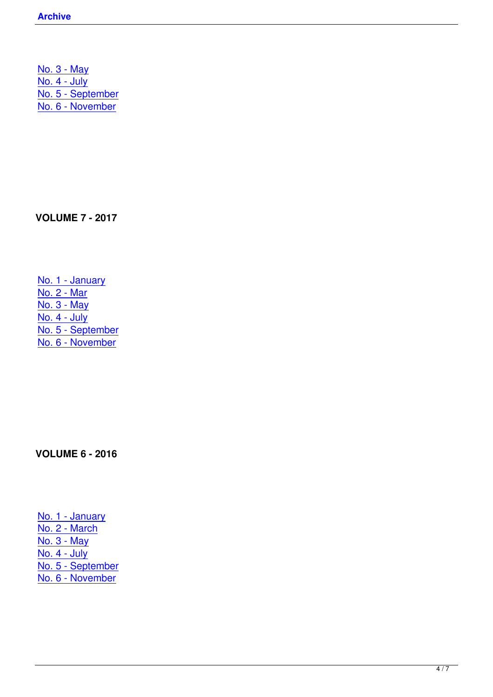No. 3 - May No. 4 - July No. 5 - September [No. 6 - Nove](index.php?option=com_content&view=article&id=64&Itemid=68)mber

**VOLUME 7 - 2017**

No. 1 - January No. 2 - Mar No. 3 - May [No. 4 - July](index.php?option=com_content&view=article&id=56&Itemid=59) [No. 5 - Sep](index.php?option=com_content&view=article&id=57&Itemid=60)tember [No. 6 - Nove](index.php?option=com_content&view=article&id=58&Itemid=61)mber

**VOLUME 6 - 2016**

No. 1 - January No. 2 - March No. 3 - May [No. 4 - July](index.php?option=com_content&view=article&id=50&Itemid=50) [No. 5 - Septem](index.php?option=com_content&view=article&id=51&Itemid=53)ber [No. 6 - Nove](index.php?option=com_content&view=article&id=52&Itemid=55)mber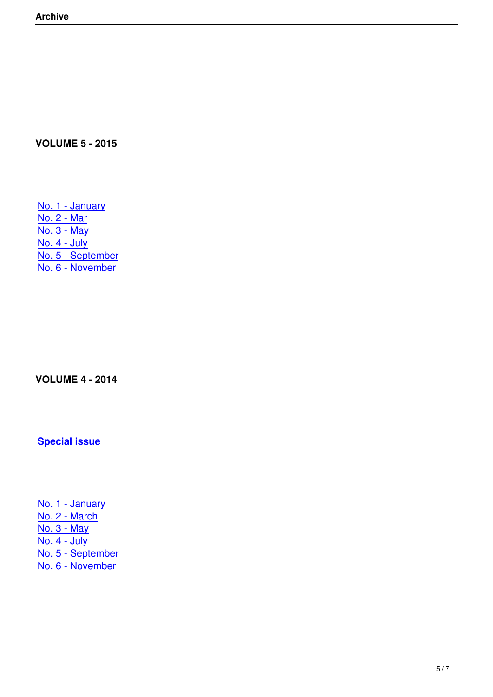# **VOLUME 5 - 2015**

No. 1 - January No. 2 - Mar No. 3 - May [No. 4 - July](index.php?option=com_content&view=article&id=38&Itemid=40) [No. 5 - Sep](index.php?option=com_content&view=article&id=39&Itemid=41)tember [No. 6 - Nove](index.php?option=com_content&view=article&id=40&Itemid=42)mber

#### **VOLUME 4 - 2014**

**Special issue**

No. 1 - January No. 2 - March No. 3 - May [No. 4 - July](index.php?option=com_content&view=article&id=29&Itemid=32) [No. 5 - Septem](index.php?option=com_content&view=article&id=31&Itemid=33)ber [No. 6 - Nove](index.php?option=com_content&view=article&id=32&Itemid=34)mber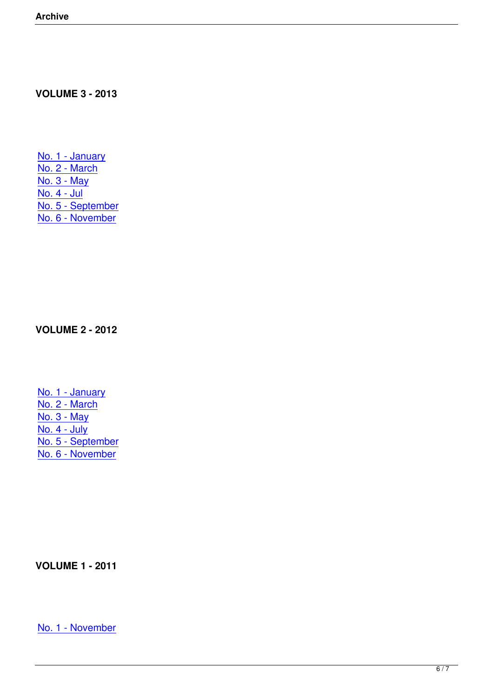#### **VOLUME 3 - 2013**

No. 1 - January No. 2 - March No. 3 - May [No. 4 - Jul](index.php?option=com_content&view=article&id=21&Itemid=24) [No. 5 - Septem](index.php?option=com_content&view=article&id=23&Itemid=25)ber [No. 6 - Nove](index.php?option=com_content&view=article&id=24&Itemid=26)mber

**VOLUME 2 - 2012**

No. 1 - January No. 2 - March No. 3 - May [No. 4 - July](index.php?option=com_content&view=article&id=14&Itemid=13) [No. 5 - Septem](index.php?option=com_content&view=article&id=15&Itemid=16)ber [No. 6 - Nove](index.php?option=com_content&view=article&id=17&Itemid=18)mber

**VOLUME 1 - 2011**

No. 1 - November